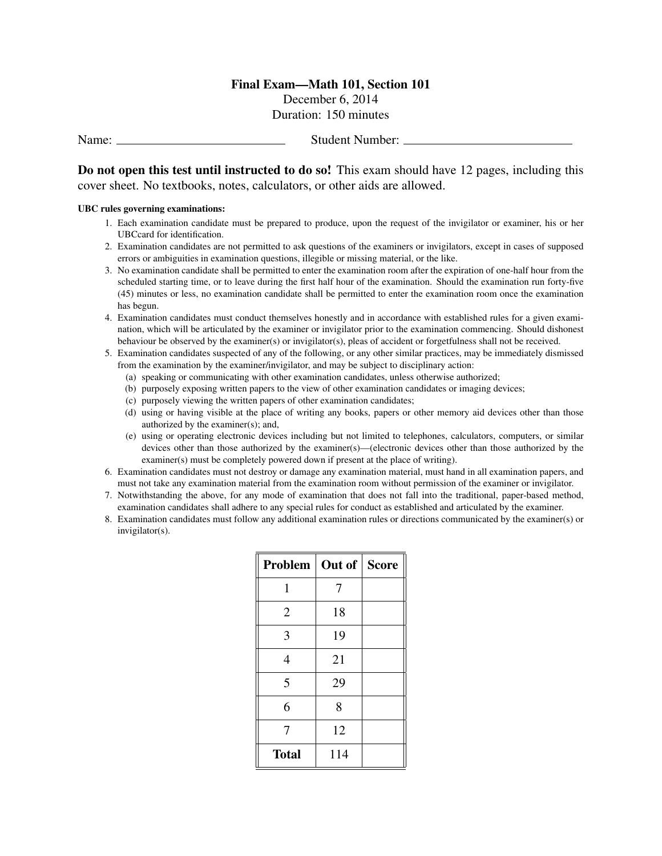## Final Exam—Math 101, Section 101

December 6, 2014 Duration: 150 minutes

Name: Student Number:

Do not open this test until instructed to do so! This exam should have 12 pages, including this cover sheet. No textbooks, notes, calculators, or other aids are allowed.

## UBC rules governing examinations:

- 1. Each examination candidate must be prepared to produce, upon the request of the invigilator or examiner, his or her UBCcard for identification.
- 2. Examination candidates are not permitted to ask questions of the examiners or invigilators, except in cases of supposed errors or ambiguities in examination questions, illegible or missing material, or the like.
- 3. No examination candidate shall be permitted to enter the examination room after the expiration of one-half hour from the scheduled starting time, or to leave during the first half hour of the examination. Should the examination run forty-five (45) minutes or less, no examination candidate shall be permitted to enter the examination room once the examination has begun.
- 4. Examination candidates must conduct themselves honestly and in accordance with established rules for a given examination, which will be articulated by the examiner or invigilator prior to the examination commencing. Should dishonest behaviour be observed by the examiner(s) or invigilator(s), pleas of accident or forgetfulness shall not be received.
- 5. Examination candidates suspected of any of the following, or any other similar practices, may be immediately dismissed from the examination by the examiner/invigilator, and may be subject to disciplinary action:
	- (a) speaking or communicating with other examination candidates, unless otherwise authorized;
	- (b) purposely exposing written papers to the view of other examination candidates or imaging devices;
	- (c) purposely viewing the written papers of other examination candidates;
	- (d) using or having visible at the place of writing any books, papers or other memory aid devices other than those authorized by the examiner(s); and,
	- (e) using or operating electronic devices including but not limited to telephones, calculators, computers, or similar devices other than those authorized by the examiner(s)—(electronic devices other than those authorized by the examiner(s) must be completely powered down if present at the place of writing).
- 6. Examination candidates must not destroy or damage any examination material, must hand in all examination papers, and must not take any examination material from the examination room without permission of the examiner or invigilator.
- 7. Notwithstanding the above, for any mode of examination that does not fall into the traditional, paper-based method, examination candidates shall adhere to any special rules for conduct as established and articulated by the examiner.
- 8. Examination candidates must follow any additional examination rules or directions communicated by the examiner(s) or invigilator(s).

| Problem        | Out of Score |  |
|----------------|--------------|--|
| 1              | 7            |  |
| $\overline{2}$ | 18           |  |
| 3              | 19           |  |
| $\overline{4}$ | 21           |  |
| 5              | 29           |  |
| 6              | 8            |  |
| 7              | 12           |  |
| <b>Total</b>   | 114          |  |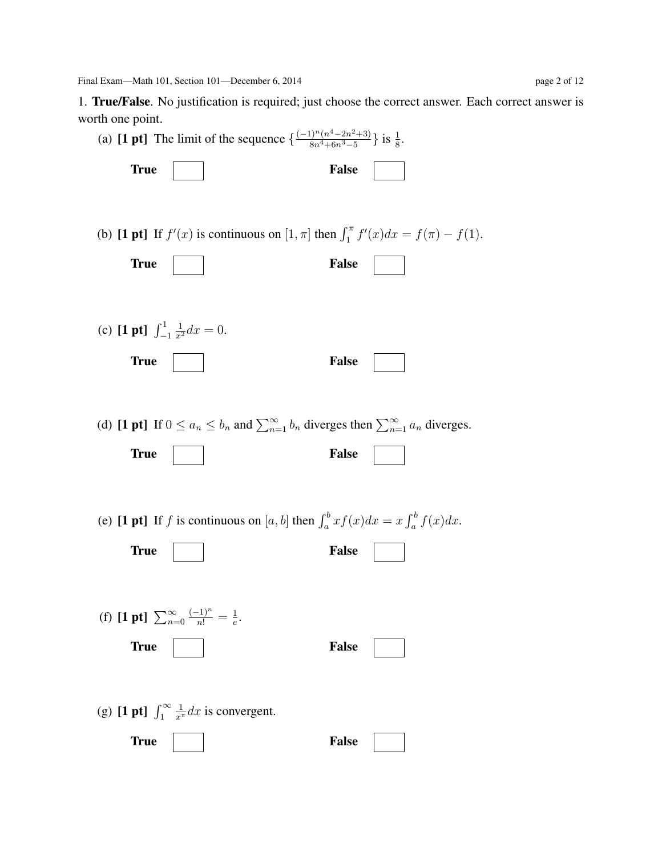Final Exam—Math 101, Section 101—December 6, 2014 page 2 of 12

1. True/False. No justification is required; just choose the correct answer. Each correct answer is worth one point.

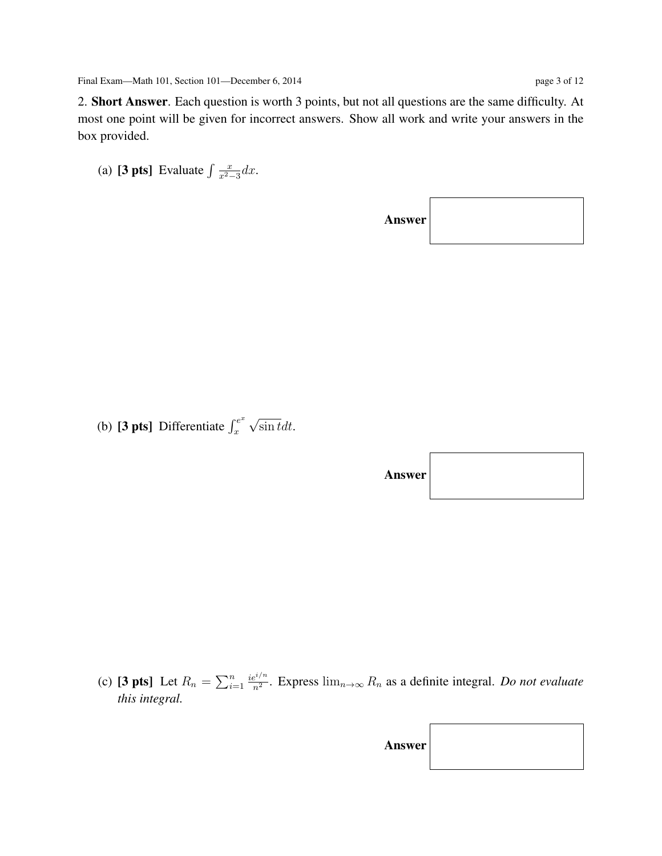2. Short Answer. Each question is worth 3 points, but not all questions are the same difficulty. At most one point will be given for incorrect answers. Show all work and write your answers in the box provided.

(a) [3 pts] Evaluate  $\int \frac{x}{r^2}$  $\frac{x}{x^2-3}dx$ .

Answer

(b) [3 pts] Differentiate  $\int_{r}^{e^x}$ x √  $\sin t dt$ .

| <b>Answer</b> |  |
|---------------|--|
|---------------|--|

(c) [3 pts] Let  $R_n = \sum_{i=1}^n$  $ie^{i/n}$  $\frac{e^{2\ell/n}}{n^2}$ . Express  $\lim_{n\to\infty} R_n$  as a definite integral. *Do not evaluate this integral.*

| Answer |  |
|--------|--|
|--------|--|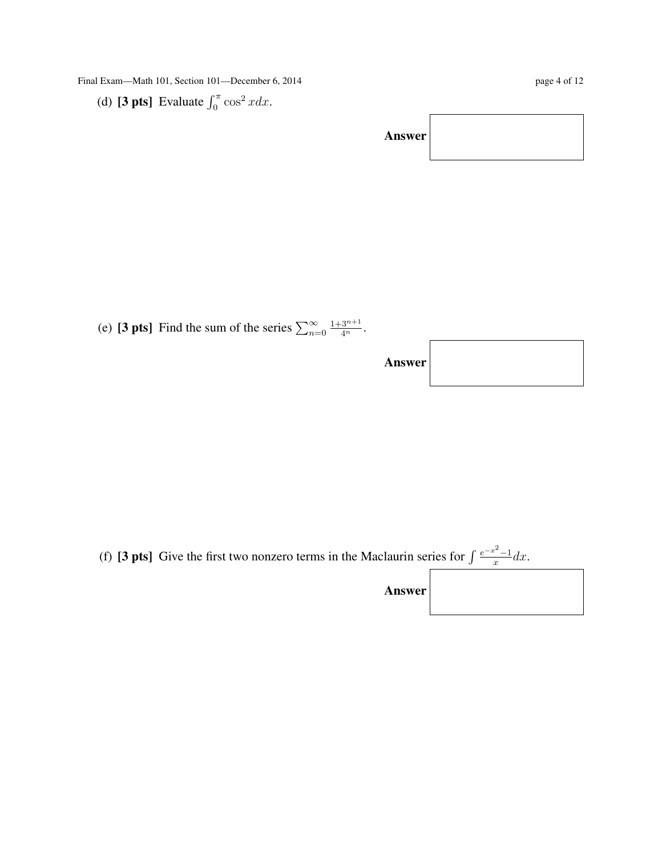Final Exam—Math 101, Section 101—December 6, 2014 page 4 of 12

(d) [3 pts] Evaluate  $\int_0^{\pi} \cos^2 x dx$ .

Answer

(e) [3 pts] Find the sum of the series  $\sum_{n=0}^{\infty}$  $\frac{1+3^{n+1}}{4^n}$ .

Answer

(f) [3 pts] Give the first two nonzero terms in the Maclaurin series for  $\int \frac{e^{-x^2}-1}{x}$  $\frac{1}{x}dx$ .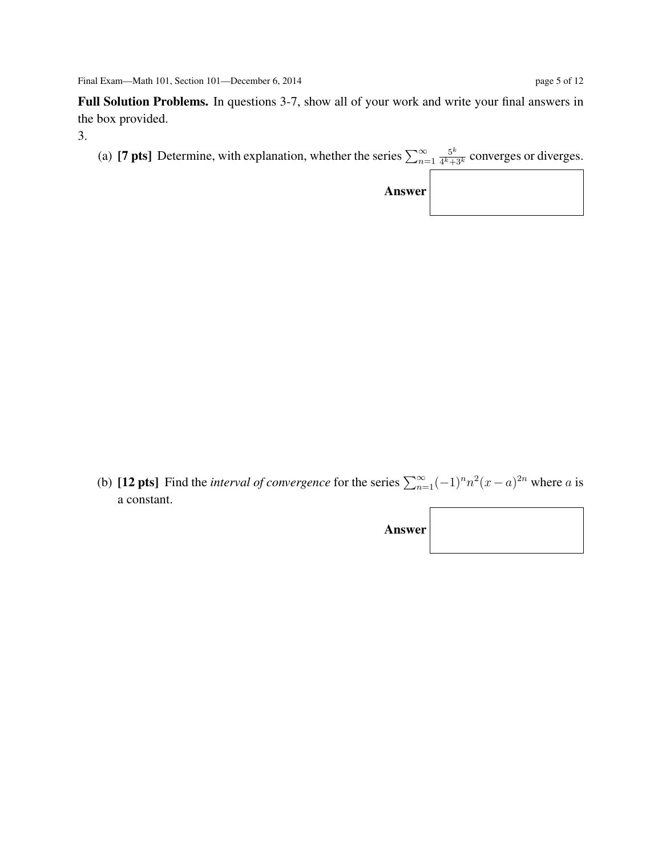Full Solution Problems. In questions 3-7, show all of your work and write your final answers in the box provided.

3.

(a) [**7 pts**] Determine, with explanation, whether the series  $\sum_{n=1}^{\infty}$  $5^k$  $\frac{5}{4^k+3^k}$  converges or diverges.

| <b>Answer</b> |  |  |
|---------------|--|--|
|---------------|--|--|

(b) [12 pts] Find the *interval of convergence* for the series  $\sum_{n=1}^{\infty}(-1)^n n^2(x-a)^{2n}$  where a is a constant.

| Answer |  |
|--------|--|
|--------|--|

 $\Gamma$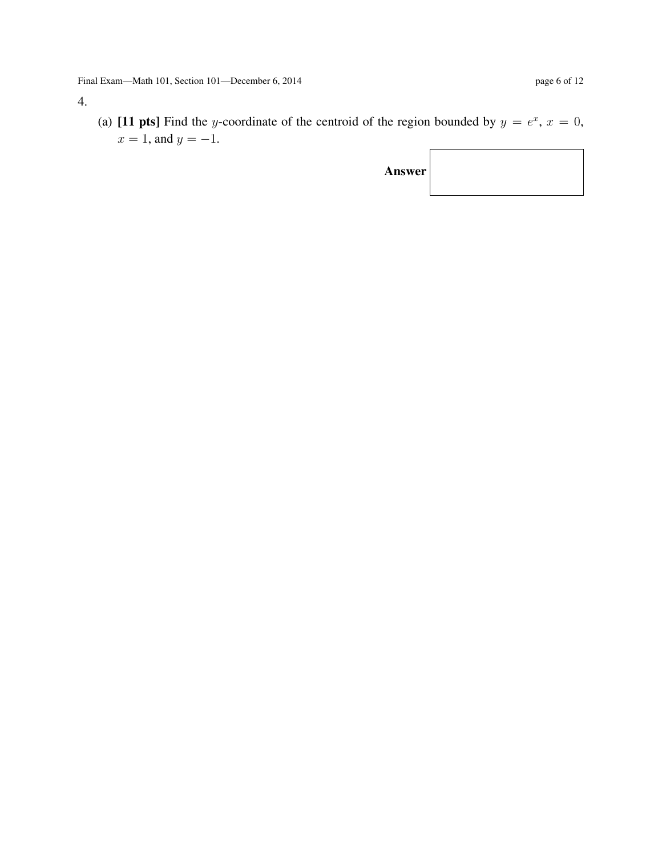## 4.

(a) [11 pts] Find the y-coordinate of the centroid of the region bounded by  $y = e^x$ ,  $x = 0$ ,  $x = 1$ , and  $y = -1$ .

| <b>Answer</b> |  |
|---------------|--|
|---------------|--|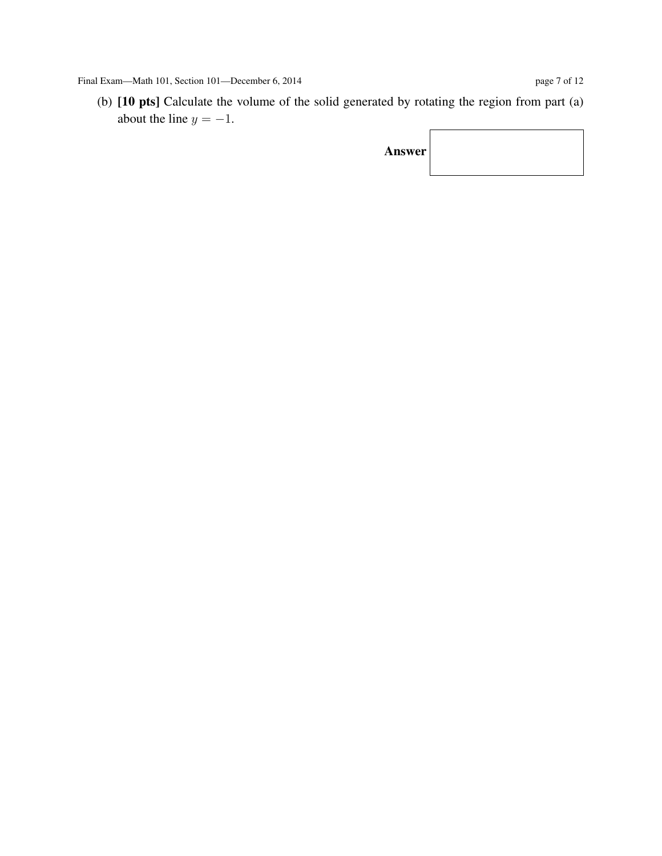Final Exam—Math 101, Section 101—December 6, 2014 page 7 of 12

(b) [10 pts] Calculate the volume of the solid generated by rotating the region from part (a) about the line  $y = -1$ .  $\overline{\phantom{a}}$ 

| Answer |  |
|--------|--|
|--------|--|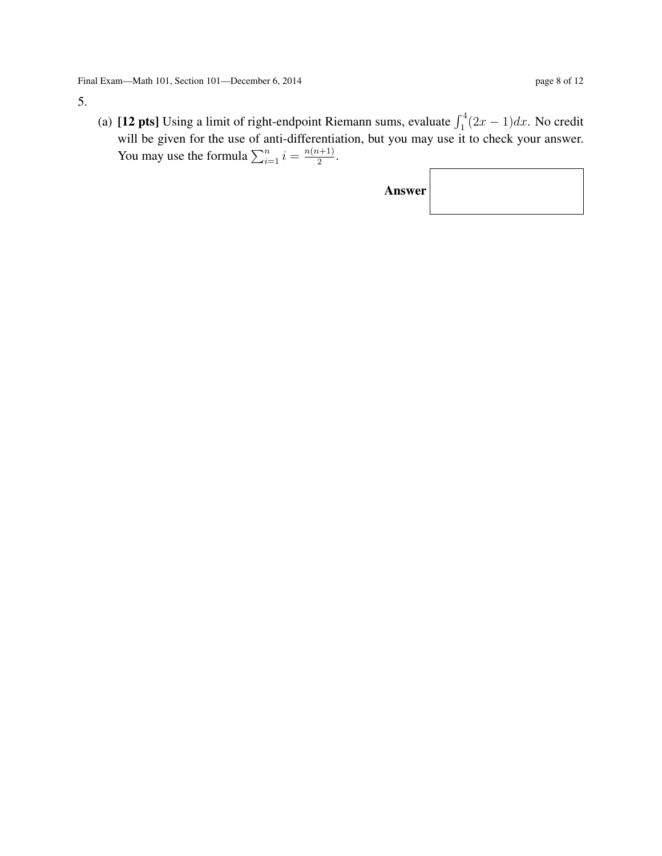5.

(a) [12 pts] Using a limit of right-endpoint Riemann sums, evaluate  $\int_1^4 (2x - 1) dx$ . No credit will be given for the use of anti-differentiation, but you may use it to check your answer. You may use the formula  $\sum_{i=1}^{n} i = \frac{n(n+1)}{2}$  $\frac{\binom{n+1}{2}}{2}$ .

| <b>Answer</b> |  |
|---------------|--|
|---------------|--|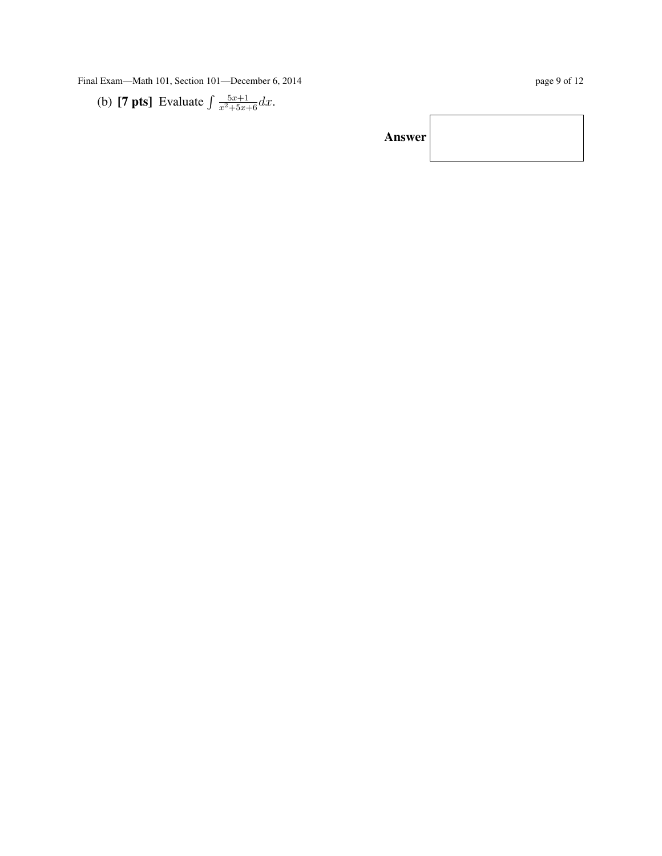Final Exam—Math 101, Section 101—December 6, 2014 page 9 of 12

(b) [7 pts] Evaluate 
$$
\int \frac{5x+1}{x^2+5x+6} dx
$$
.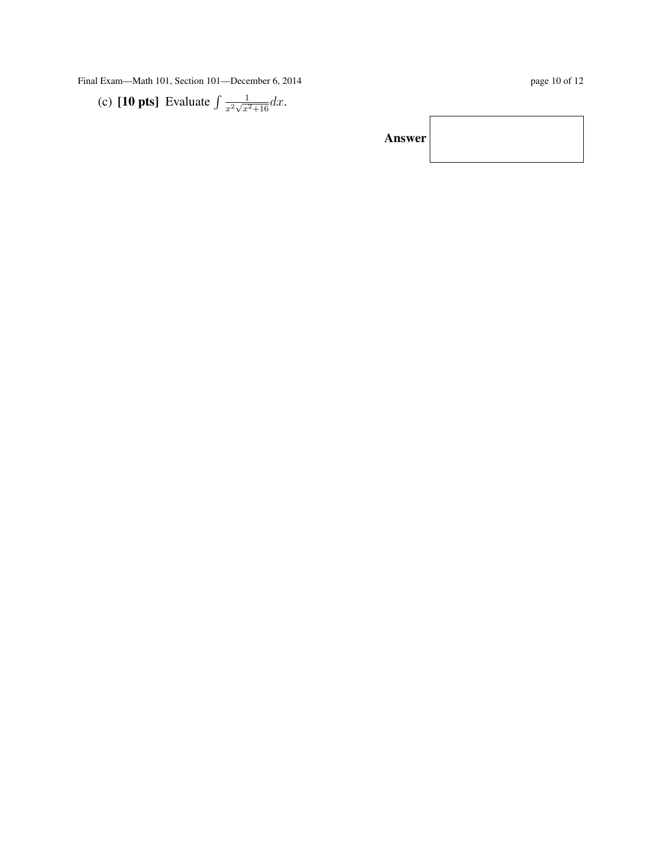Final Exam—Math 101, Section 101—December 6, 2014 page 10 of 12

(c) **[10 pts]** Evaluate 
$$
\int \frac{1}{x^2 \sqrt{x^2 + 16}} dx
$$
.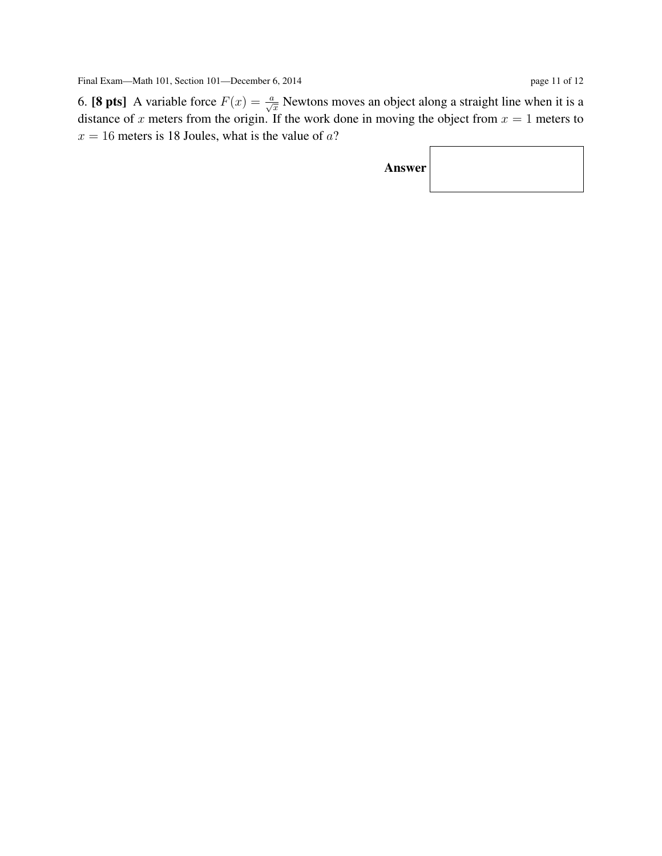6. [8 pts] A variable force  $F(x) = \frac{a}{\sqrt{x}}$  Newtons moves an object along a straight line when it is a distance of x meters from the origin. If the work done in moving the object from  $x = 1$  meters to  $x = 16$  meters is 18 Joules, what is the value of a?